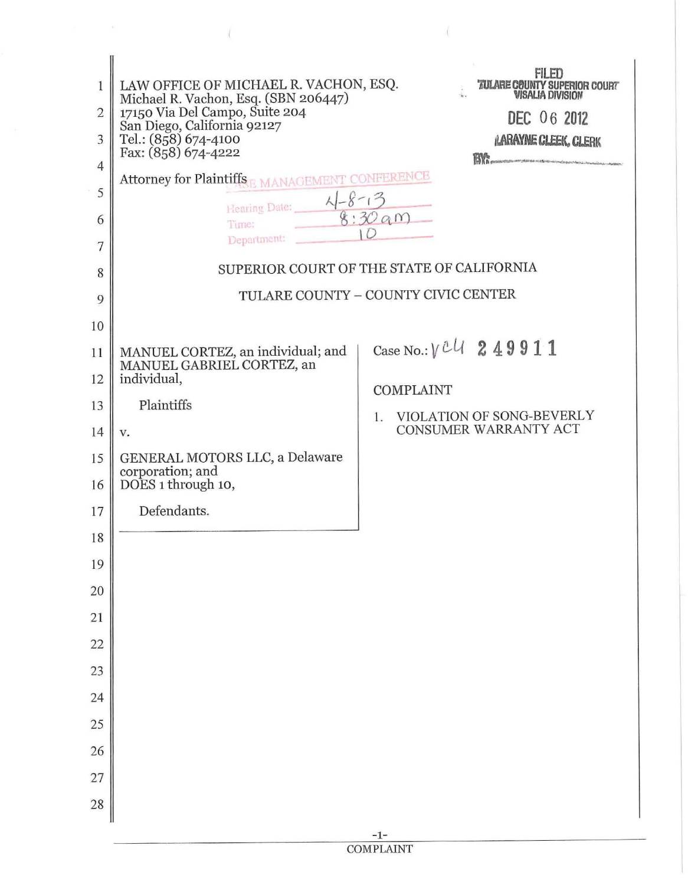| 1              | LAW OFFICE OF MICHAEL R. VACHON, ESQ.<br>Michael R. Vachon, Esq. (SBN 206447) | FII FII<br><b><i>TULARE COUNTY SUPERIOR COURT</i></b><br><b>VISALIA DIVISION</b> |
|----------------|-------------------------------------------------------------------------------|----------------------------------------------------------------------------------|
| $\overline{2}$ | 17150 Via Del Campo, Suite 204<br>San Diego, California 92127                 | DEC 06 2012                                                                      |
| 3              | Tel.: (858) 674-4100<br>Fax: (858) 674-4222                                   | <b>LARAYNE CLEEK, CLERK</b><br>BY:                                               |
| $\overline{4}$ | Attorney for Plaintiffs B MANAGEMENT CONFERENCE                               |                                                                                  |
| 5              | Hearing Date: $\frac{\sqrt{-8}-13}{8:30a}$                                    |                                                                                  |
| 6<br>7         | Department:                                                                   |                                                                                  |
| 8              |                                                                               | SUPERIOR COURT OF THE STATE OF CALIFORNIA                                        |
| 9              |                                                                               | TULARE COUNTY - COUNTY CIVIC CENTER                                              |
| 10             |                                                                               |                                                                                  |
| 11             | MANUEL CORTEZ, an individual; and                                             | Case No.: $V^{U}$ 249911                                                         |
| 12             | MANUEL GABRIEL CORTEZ, an<br>individual,                                      | <b>COMPLAINT</b>                                                                 |
| 13             | Plaintiffs                                                                    | VIOLATION OF SONG-BEVERLY<br>1.                                                  |
| 14             | v.                                                                            | CONSUMER WARRANTY ACT                                                            |
| 15             | GENERAL MOTORS LLC, a Delaware<br>corporation; and                            |                                                                                  |
| 16             | DOES 1 through 10,                                                            |                                                                                  |
| 17             | Defendants.                                                                   |                                                                                  |
| 18             |                                                                               |                                                                                  |
| 19             |                                                                               |                                                                                  |
| 20             |                                                                               |                                                                                  |
| 21             |                                                                               |                                                                                  |
| 22             |                                                                               |                                                                                  |
| 23             |                                                                               |                                                                                  |
| 24<br>25       |                                                                               |                                                                                  |
| 26             |                                                                               |                                                                                  |
| 27             |                                                                               |                                                                                  |
| 28             |                                                                               |                                                                                  |
|                |                                                                               | $-1-$                                                                            |

X.

 $\langle$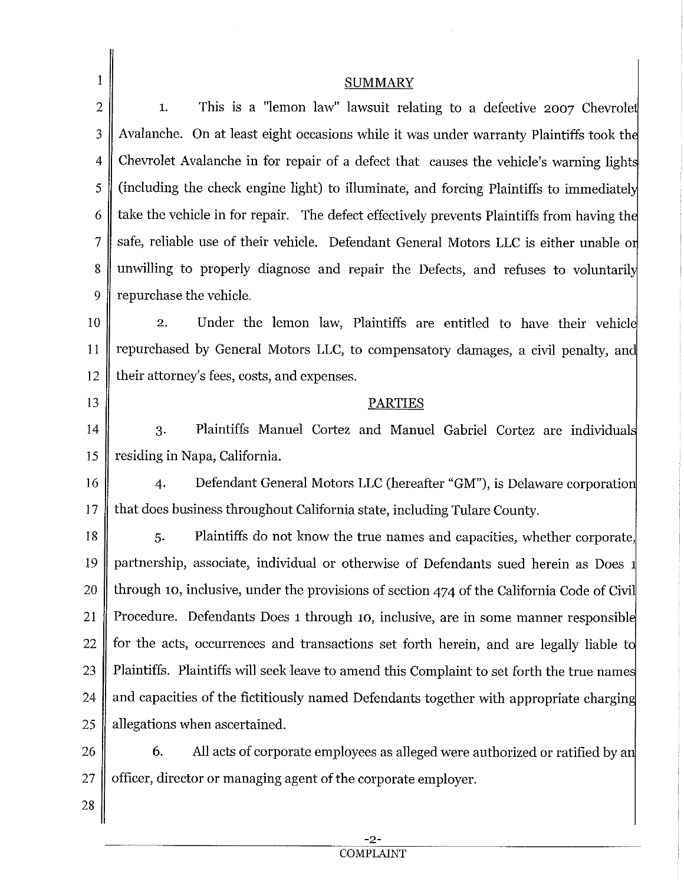| $\mathbf{1}$   | <b>SUMMARY</b>                                                                             |  |
|----------------|--------------------------------------------------------------------------------------------|--|
| $\overline{2}$ | This is a "lemon law" lawsuit relating to a defective 2007 Chevrolet<br>1.                 |  |
| 3              | Avalanche. On at least eight occasions while it was under warranty Plaintiffs took the     |  |
| 4              | Chevrolet Avalanche in for repair of a defect that causes the vehicle's warning lights     |  |
| 5              | (including the check engine light) to illuminate, and forcing Plaintiffs to immediately    |  |
| 6              | take the vehicle in for repair. The defect effectively prevents Plaintiffs from having the |  |
| $\overline{7}$ | safe, reliable use of their vehicle. Defendant General Motors LLC is either unable or      |  |
| 8              | unwilling to properly diagnose and repair the Defects, and refuses to voluntarily          |  |
| 9              | repurchase the vehicle.                                                                    |  |
| 10             | Under the lemon law, Plaintiffs are entitled to have their vehicle<br>2.                   |  |
| 11             | repurchased by General Motors LLC, to compensatory damages, a civil penalty, and           |  |
| 12             | their attorney's fees, costs, and expenses.                                                |  |
| 13             | <b>PARTIES</b>                                                                             |  |
| 14             | Plaintiffs Manuel Cortez and Manuel Gabriel Cortez are individuals<br>3.                   |  |
| 15             | residing in Napa, California.                                                              |  |
| 16             | Defendant General Motors LLC (hereafter "GM"), is Delaware corporation<br>4.               |  |
| 17             | that does business throughout California state, including Tulare County.                   |  |
| 18             | Plaintiffs do not know the true names and capacities, whether corporate,<br>5.             |  |
| 19             | partnership, associate, individual or otherwise of Defendants sued herein as Does 1        |  |
| 20             | through 10, inclusive, under the provisions of section 474 of the California Code of Civil |  |
| 21             | Procedure. Defendants Does 1 through 10, inclusive, are in some manner responsible         |  |
| 22             | for the acts, occurrences and transactions set forth herein, and are legally liable to     |  |
| 23             | Plaintiffs. Plaintiffs will seek leave to amend this Complaint to set forth the true names |  |
| 24             | and capacities of the fictitiously named Defendants together with appropriate charging     |  |
| 25             | allegations when ascertained.                                                              |  |
| 26             | All acts of corporate employees as alleged were authorized or ratified by an<br>6.         |  |
| 27             | officer, director or managing agent of the corporate employer.                             |  |
| 28             |                                                                                            |  |
|                |                                                                                            |  |

 $\hat{\mathbf{r}}$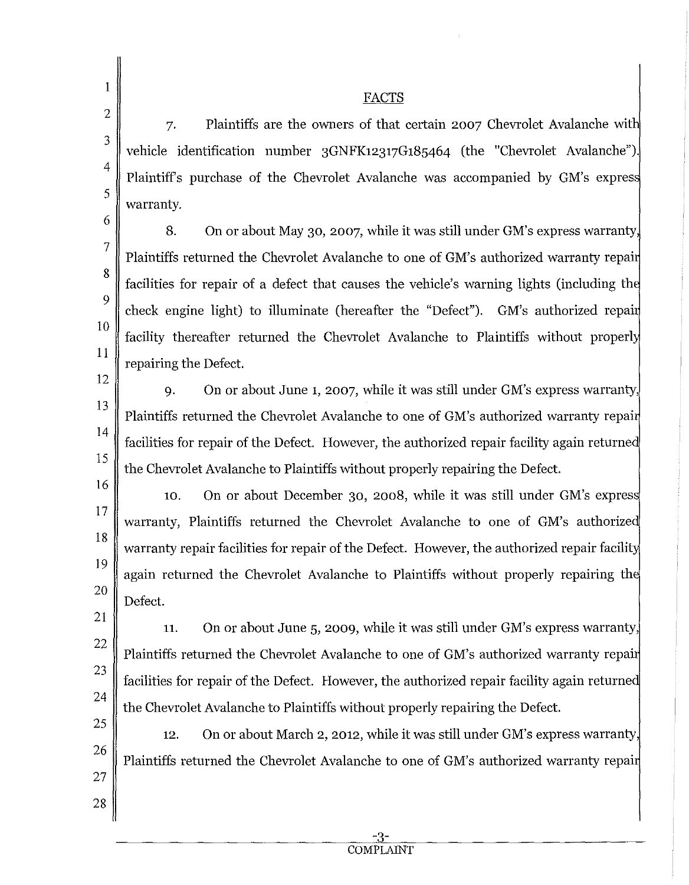1

## FACTS

7. Plaintiffs are the owners of that certain 2007 Chevrolet Avalanche wit vehicle identification number 3GNFK12317G185464 (the "Chevrolet Avalanche"). Plaintiffs purchase of the Chevrolet Avalanche was accompanied by GM's expres warranty.

6 7

8

9

10

11

5

8. On or about May 30, 2007, while it was still under GM's express warranty Plaintiffs returned the Chevrolet Avalanche to one of GM's authorized warranty repai facilities for repair of a defect that causes the vehicle's warning lights (including th check engine light) to illuminate (hereafter the "Defect"). GM's authorized repai facility thereafter returned the Chevrolet Avalanche to Plaintiffs without properly repairing the Defect.

12 13

14

15

16

17

18

19

20

9. On or about June 1, 2007, while it was still under GM's express warranty, Plaintiffs returned the Chevrolet Avalanche to one of GM's authorized warranty repair facilities for repair of the Defect. However, the authorized repair facility again returne the Chevrolet Avalanche to Plaintiffs without properly repairing the Defect.

10. On or about December 30, 2008, while it was still under GM's expres warranty, Plaintiffs returned the Chevrolet Avalanche to one of GM's authorize warranty repair facilities for repair of the Defect. However, the authorized repair facility again returned the Chevrolet Avalanche to Plaintiffs without properly repairing th Defect.

21 22 23 24 11. On or about June 5, 2009, while it was still under GM's express warranty, Plaintiffs returned the Chevrolet Avalanche to one of GM's authorized warranty repai facilities for repair of the Defect. However, the authorized repair facility again returne the Chevrolet Avalanche to Plaintiffs without properly repairing the Defect.

25 26 27 12. On or about March 2, 2012, while it was still under GM's express warranty, Plaintiffs returned the Chevrolet Avalanche to one of GM's authorized warranty repai

28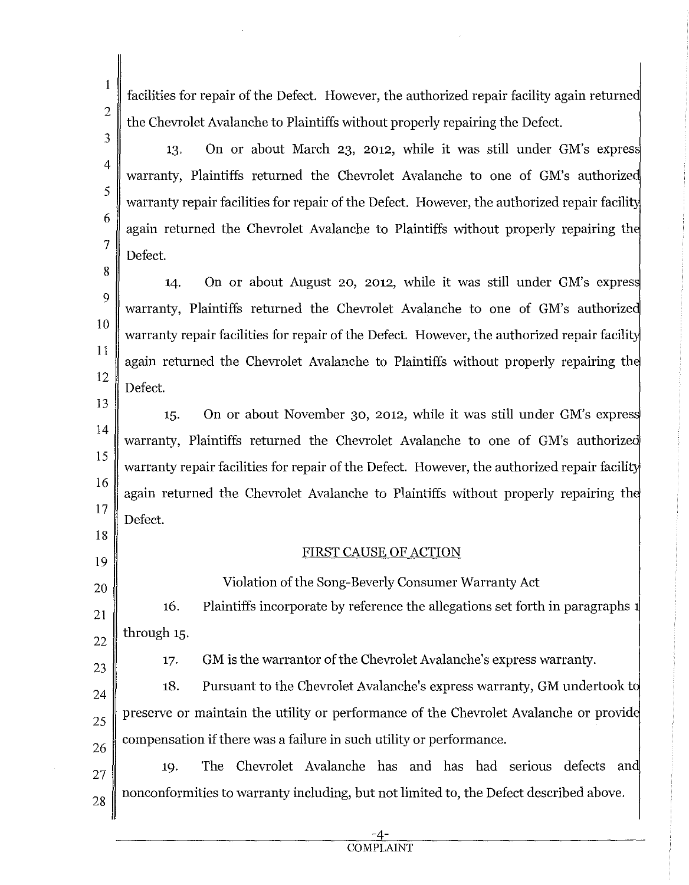facilities for repair of the Defect. However, the authorized repair facility again returned the Chevrolet Avalanche to Plaintiffs without properly repairing the Defect.

13. On or about March 23, 2012, while it was still under GM's warranty, Plaintiffs returned the Chevrolet Avalanche to one of GM's authorized warranty repair facilities for repair of the Defect. However, the authorized repair facility again returned the Chevrolet Avalanche to Plaintiffs without properly repairing th Defect.

14. On or about August 20, 2012, while it was still under GM's expres warranty, Plaintiffs returned the Chevrolet Avalanche to one of GM's authorize warranty repair facilities for repair of the Defect. However, the authorized repair facility again returned the Chevrolet Avalanche to Plaintiffs without properly repairing th Defect.

13 14 15 16 17 15. On or about November 30, 2012, while it was still under GM's expres warranty, Plaintiffs returned the Chevrolet Avalanche to one of GM's authorize warranty repair facilities for repair of the Defect. However, the authorized repair facility again returned the Chevrolet Avalanche to Plaintiffs without properly repairing th Defect.

## FIRST CAUSE OF ACTION

20 21 22 16. through 15. Violation of the Song-Beverly Consumer Warranty Act Plaintiffs incorporate by reference the allegations set forth in paragraphs

23

18

19

1

2

3

4

5

6

7

8

9

10

11

12

17. GM is the warrantor of the Chevrolet Avalanche's express warranty.

24 25 26 18. Pursuant to the Chevrolet Avalanche's express warranty, GM undertook t preserve or maintain the utility or performance of the Chevrolet Avalanche or provid compensation if there was a failure in such utility or performance.

27 28 19. The Chevrolet Avalanche has and has had serious defects an nonconformities to warranty including, but not limited to, the Defect described above.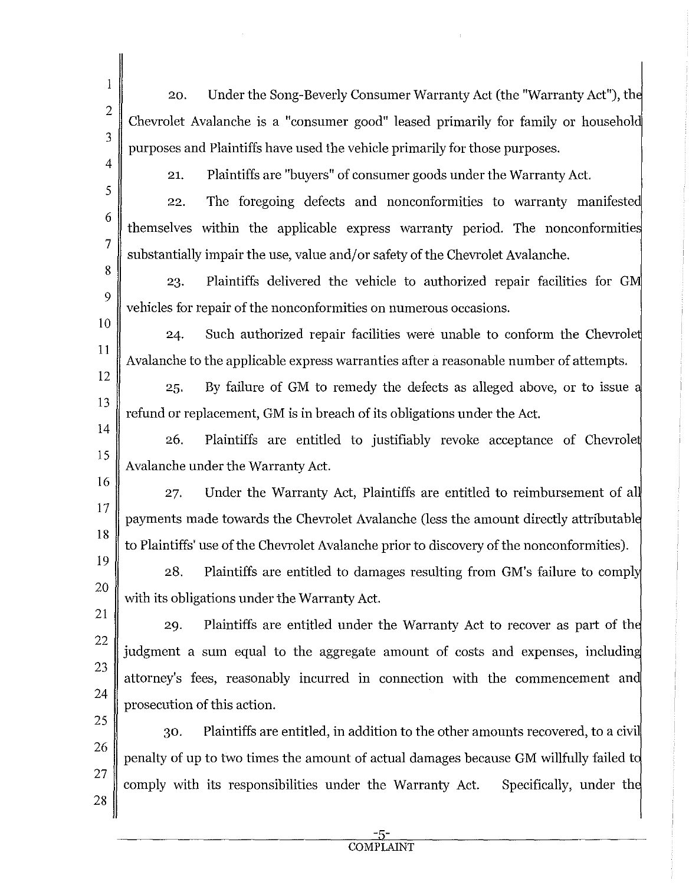20. Under the Song-Beverly Consumer Warranty Act (the "Warranty Act"), th Chevrolet Avalanche is a "consumer good" leased primarily for family or househol purposes and Plaintiffs have used the vehicle primarily for those purposes.

4

1

2

3

5

6

7

8

9

10

11

12

13

17

18

21. Plaintiffs are "buyers" of consumer goods under the Warranty Act.

22. themselves within the applicable express warranty period. The nonconformities The foregoing defects and nonconformities to warranty manifested substantially impair the use, value and/or safety of the Chevrolet Avalanche.

23. Plaintiffs delivered the vehicle to authorized repair facilities for G vehicles for repair of the nonconformities on numerous occasions.

24. Such authorized repair facilities were unable to conform the Chevrole Avalanche to the applicable express warranties after a reasonable number of attempts.

25. By failure of GM to remedy the defects as alleged above, or to issue refund or replacement, GM is in breach of its obligations under the Act.

14 15 16 26. Plaintiffs are entitled to justifiably revoke acceptance of Chevrole Avalanche under the Warranty Act.

Under the Warranty Act, Plaintiffs are entitled to reimbursement of al 27. payments made towards the Chevrolet Avalanche (less the amount directly attributabl to Plaintiffs' use of the Chevrolet Avalanche prior to discovery of the nonconformities).

19 20 28. Plaintiffs are entitled to damages resulting from GM's failure to compl with its obligations under the Warranty Act.

21 22

23

24

29. Plaintiffs are entitled under the Warranty Act to recover as part of th judgment a sum equal to the aggregate amount of costs and expenses, includin attorney's fees, reasonably incurred in connection with the commencement and prosecution of this action.

25 26 27 28 30. Plaintiffs are entitled, in addition to the other amounts recovered, to a civi penalty of up to two times the amount of actual damages because GM willfully failed t comply with its responsibilities under the Warranty Act. Specifically, under th